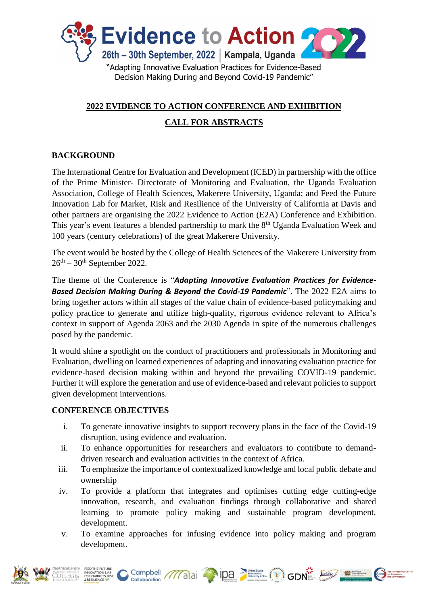

## **2022 EVIDENCE TO ACTION CONFERENCE AND EXHIBITION**

# **CALL FOR ABSTRACTS**

## **BACKGROUND**

The International Centre for Evaluation and Development (ICED) in partnership with the office of the Prime Minister- Directorate of Monitoring and Evaluation, the Uganda Evaluation Association, College of Health Sciences, Makerere University, Uganda; and Feed the Future Innovation Lab for Market, Risk and Resilience of the University of California at Davis and other partners are organising the 2022 Evidence to Action (E2A) Conference and Exhibition. This year's event features a blended partnership to mark the 8<sup>th</sup> Uganda Evaluation Week and 100 years (century celebrations) of the great Makerere University.

The event would be hosted by the College of Health Sciences of the Makerere University from  $26<sup>th</sup> - 30<sup>th</sup>$  September 2022.

The theme of the Conference is "*Adapting Innovative Evaluation Practices for Evidence-Based Decision Making During & Beyond the Covid-19 Pandemic*". The 2022 E2A aims to bring together actors within all stages of the value chain of evidence-based policymaking and policy practice to generate and utilize high-quality, rigorous evidence relevant to Africa's context in support of Agenda 2063 and the 2030 Agenda in spite of the numerous challenges posed by the pandemic.

It would shine a spotlight on the conduct of practitioners and professionals in Monitoring and Evaluation, dwelling on learned experiences of adapting and innovating evaluation practice for evidence-based decision making within and beyond the prevailing COVID-19 pandemic. Further it will explore the generation and use of evidence-based and relevant policies to support given development interventions.

## **CONFERENCE OBJECTIVES**

- i. To generate innovative insights to support recovery plans in the face of the Covid-19 disruption, using evidence and evaluation.
- ii. To enhance opportunities for researchers and evaluators to contribute to demanddriven research and evaluation activities in the context of Africa.
- iii. To emphasize the importance of contextualized knowledge and local public debate and ownership
- iv. To provide a platform that integrates and optimises cutting edge cutting-edge innovation, research, and evaluation findings through collaborative and shared learning to promote policy making and sustainable program development. development.
- v. To examine approaches for infusing evidence into policy making and program development.



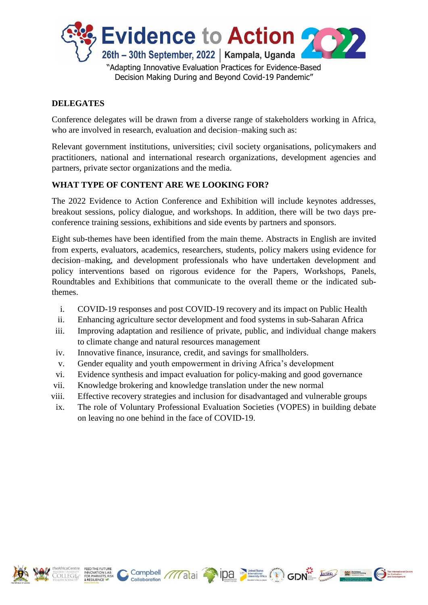

### **DELEGATES**

Conference delegates will be drawn from a diverse range of stakeholders working in Africa, who are involved in research, evaluation and decision–making such as:

Relevant government institutions, universities; civil society organisations, policymakers and practitioners, national and international research organizations, development agencies and partners, private sector organizations and the media.

### **WHAT TYPE OF CONTENT ARE WE LOOKING FOR?**

The 2022 Evidence to Action Conference and Exhibition will include keynotes addresses, breakout sessions, policy dialogue, and workshops. In addition, there will be two days preconference training sessions, exhibitions and side events by partners and sponsors.

Eight sub-themes have been identified from the main theme. Abstracts in English are invited from experts, evaluators, academics, researchers, students, policy makers using evidence for decision–making, and development professionals who have undertaken development and policy interventions based on rigorous evidence for the Papers, Workshops, Panels, Roundtables and Exhibitions that communicate to the overall theme or the indicated subthemes.

- i. COVID-19 responses and post COVID-19 recovery and its impact on Public Health
- ii. Enhancing agriculture sector development and food systems in sub-Saharan Africa
- iii. Improving adaptation and resilience of private, public, and individual change makers to climate change and natural resources management
- iv. Innovative finance, insurance, credit, and savings for smallholders.
- v. Gender equality and youth empowerment in driving Africa's development
- vi. Evidence synthesis and impact evaluation for policy-making and good governance
- vii. Knowledge brokering and knowledge translation under the new normal
- viii. Effective recovery strategies and inclusion for disadvantaged and vulnerable groups
- ix. The role of Voluntary Professional Evaluation Societies (VOPES) in building debate on leaving no one behind in the face of COVID-19.





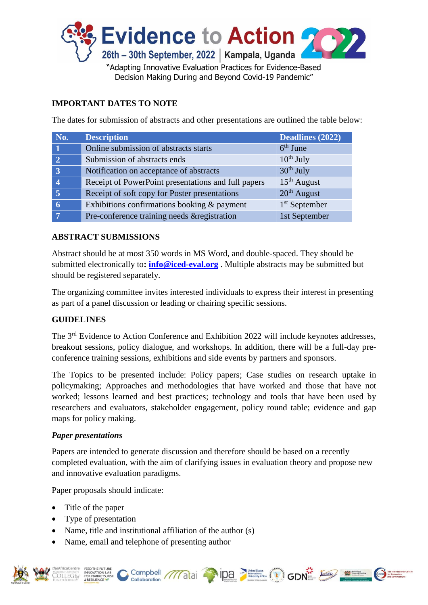

# **IMPORTANT DATES TO NOTE**

The dates for submission of abstracts and other presentations are outlined the table below:

| No.            | <b>Description</b>                                  | Deadlines (2022) |
|----------------|-----------------------------------------------------|------------------|
|                | Online submission of abstracts starts               | $6th$ June       |
| $\overline{2}$ | Submission of abstracts ends                        | $10^{th}$ July   |
|                | Notification on acceptance of abstracts             | $30th$ July      |
|                | Receipt of PowerPoint presentations and full papers | $15th$ August    |
| $\overline{5}$ | Receipt of soft copy for Poster presentations       | $20th$ August    |
|                | Exhibitions confirmations booking $\&$ payment      | $1st$ September  |
|                | Pre-conference training needs & registration        | 1st September    |

#### **ABSTRACT SUBMISSIONS**

Abstract should be at most 350 words in MS Word, and double-spaced. They should be submitted electronically to**: [info@iced-eval.org](mailto:info@iced-eval.org)** . Multiple abstracts may be submitted but should be registered separately.

The organizing committee invites interested individuals to express their interest in presenting as part of a panel discussion or leading or chairing specific sessions.

## **GUIDELINES**

The 3<sup>rd</sup> Evidence to Action Conference and Exhibition 2022 will include keynotes addresses, breakout sessions, policy dialogue, and workshops. In addition, there will be a full-day preconference training sessions, exhibitions and side events by partners and sponsors.

The Topics to be presented include: Policy papers; Case studies on research uptake in policymaking; Approaches and methodologies that have worked and those that have not worked; lessons learned and best practices; technology and tools that have been used by researchers and evaluators, stakeholder engagement, policy round table; evidence and gap maps for policy making.

#### *Paper presentations*

Papers are intended to generate discussion and therefore should be based on a recently completed evaluation, with the aim of clarifying issues in evaluation theory and propose new and innovative evaluation paradigms.

Paper proposals should indicate:

- Title of the paper
- Type of presentation
- Name, title and institutional affiliation of the author (s)
- Name, email and telephone of presenting author



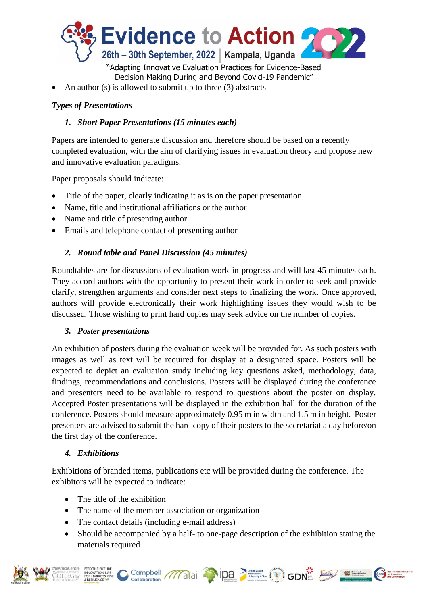

An author (s) is allowed to submit up to three (3) abstracts

### *Types of Presentations*

### *1. Short Paper Presentations (15 minutes each)*

Papers are intended to generate discussion and therefore should be based on a recently completed evaluation, with the aim of clarifying issues in evaluation theory and propose new and innovative evaluation paradigms.

Paper proposals should indicate:

- Title of the paper, clearly indicating it as is on the paper presentation
- Name, title and institutional affiliations or the author
- Name and title of presenting author
- Emails and telephone contact of presenting author

### *2. Round table and Panel Discussion (45 minutes)*

Roundtables are for discussions of evaluation work-in-progress and will last 45 minutes each. They accord authors with the opportunity to present their work in order to seek and provide clarify, strengthen arguments and consider next steps to finalizing the work. Once approved, authors will provide electronically their work highlighting issues they would wish to be discussed. Those wishing to print hard copies may seek advice on the number of copies.

#### *3. Poster presentations*

An exhibition of posters during the evaluation week will be provided for. As such posters with images as well as text will be required for display at a designated space. Posters will be expected to depict an evaluation study including key questions asked, methodology, data, findings, recommendations and conclusions. Posters will be displayed during the conference and presenters need to be available to respond to questions about the poster on display. Accepted Poster presentations will be displayed in the exhibition hall for the duration of the conference. Posters should measure approximately 0.95 m in width and 1.5 m in height. Poster presenters are advised to submit the hard copy of their posters to the secretariat a day before/on the first day of the conference.

#### *4. Exhibitions*

Exhibitions of branded items, publications etc will be provided during the conference. The exhibitors will be expected to indicate:

- The title of the exhibition
- The name of the member association or organization
- The contact details (including e-mail address)
- Should be accompanied by a half- to one-page description of the exhibition stating the materials required